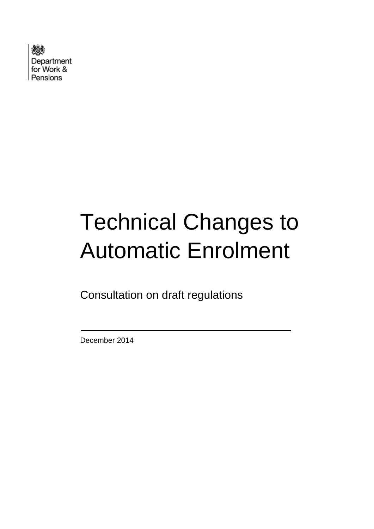

# Technical Changes to Automatic Enrolment

Consultation on draft regulations

December 2014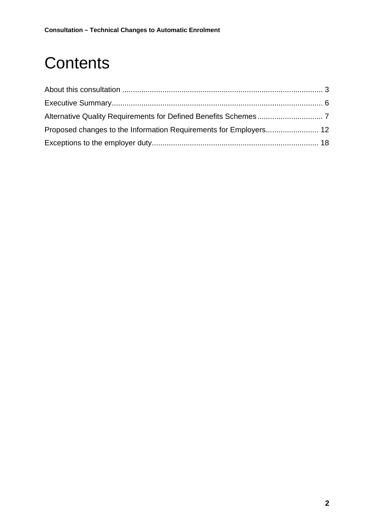## **Contents**

| Proposed changes to the Information Requirements for Employers 12 |  |
|-------------------------------------------------------------------|--|
|                                                                   |  |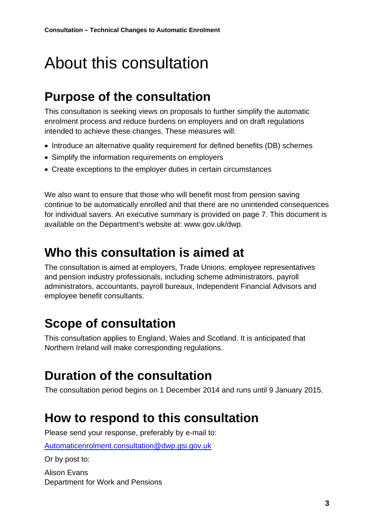## <span id="page-2-0"></span>About this consultation

### **Purpose of the consultation**

This consultation is seeking views on proposals to further simplify the automatic enrolment process and reduce burdens on employers and on draft regulations intended to achieve these changes. These measures will:

- Introduce an alternative quality requirement for defined benefits (DB) schemes
- Simplify the information requirements on employers
- Create exceptions to the employer duties in certain circumstances

We also want to ensure that those who will benefit most from pension saving continue to be automatically enrolled and that there are no unintended consequences for individual savers. An executive summary is provided on page 7. This document is available on the Department's website at: www.gov.uk/dwp.

### **Who this consultation is aimed at**

The consultation is aimed at employers, Trade Unions, employee representatives and pension industry professionals, including scheme administrators, payroll administrators, accountants, payroll bureaux, Independent Financial Advisors and employee benefit consultants.

### **Scope of consultation**

This consultation applies to England, Wales and Scotland. It is anticipated that Northern Ireland will make corresponding regulations.

#### **Duration of the consultation**

The consultation period begins on 1 December 2014 and runs until 9 January 2015.

### **How to respond to this consultation**

Please send your response, preferably by e-mail to:

[Automaticenrolment.consultation@dwp.gsi.gov.uk](mailto:Automaticenrolment.consultation@dwp.gsi.gov.uk)

Or by post to:

Alison Evans Department for Work and Pensions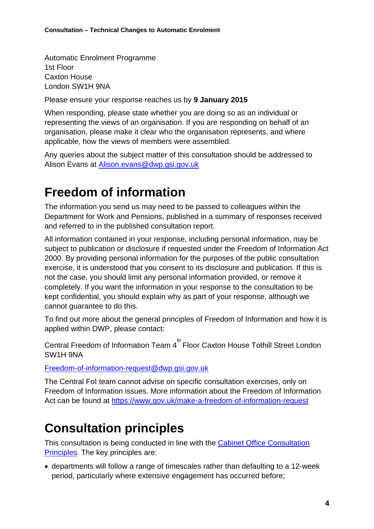Automatic Enrolment Programme 1st Floor Caxton House London SW1H 9NA

Please ensure your response reaches us by **9 January 2015**

When responding, please state whether you are doing so as an individual or representing the views of an organisation. If you are responding on behalf of an organisation, please make it clear who the organisation represents, and where applicable, how the views of members were assembled.

Any queries about the subject matter of this consultation should be addressed to Alison Evans at [Alison.evans@dwp.gsi.gov.uk](mailto:Alison.evans@dwp.gsi.gov.uk)

#### **Freedom of information**

The information you send us may need to be passed to colleagues within the Department for Work and Pensions, published in a summary of responses received and referred to in the published consultation report.

All information contained in your response, including personal information, may be subject to publication or disclosure if requested under the Freedom of Information Act 2000. By providing personal information for the purposes of the public consultation exercise, it is understood that you consent to its disclosure and publication. If this is not the case, you should limit any personal information provided, or remove it completely. If you want the information in your response to the consultation to be kept confidential, you should explain why as part of your response, although we cannot guarantee to do this.

To find out more about the general principles of Freedom of Information and how it is applied within DWP, please contact:

Central Freedom of Information Team 4<sup>th</sup> Floor Caxton House Tothill Street London SW1H 9NA

[Freedom-of-information-request@dwp.gsi.gov.uk](mailto:Freedom-of-information-request@dwp.gsi.gov.uk)

The Central FoI team cannot advise on specific consultation exercises, only on Freedom of Information issues. More information about the Freedom of Information Act can be found at<https://www.gov.uk/make-a-freedom-of-information-request>

### **Consultation principles**

This consultation is being conducted in line with the [Cabinet Office Consultation](https://www.gov.uk/government/uploads/system/uploads/attachment_data/file/255180/Consultation-Principles-Oct-2013.pdf)  [Principles.](https://www.gov.uk/government/uploads/system/uploads/attachment_data/file/255180/Consultation-Principles-Oct-2013.pdf) The key principles are:

• departments will follow a range of timescales rather than defaulting to a 12-week period, particularly where extensive engagement has occurred before;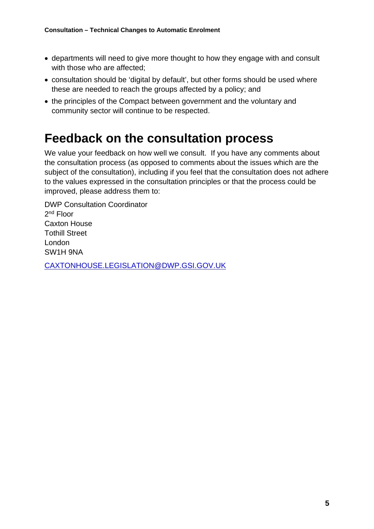- departments will need to give more thought to how they engage with and consult with those who are affected:
- consultation should be 'digital by default', but other forms should be used where these are needed to reach the groups affected by a policy; and
- the principles of the Compact between government and the voluntary and community sector will continue to be respected.

#### **Feedback on the consultation process**

We value your feedback on how well we consult. If you have any comments about the consultation process (as opposed to comments about the issues which are the subject of the consultation), including if you feel that the consultation does not adhere to the values expressed in the consultation principles or that the process could be improved, please address them to:

DWP Consultation Coordinator 2nd Floor Caxton House Tothill Street London SW1H 9NA

[CAXTONHOUSE.LEGISLATION@DWP.GSI.GOV.UK](mailto:CAXTONHOUSE.LEGISLATION@DWP.GSI.GOV.UK)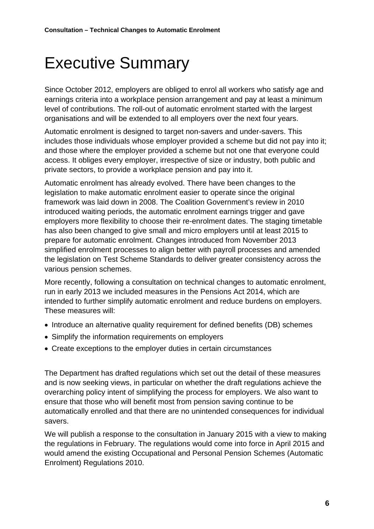## <span id="page-5-0"></span>Executive Summary

Since October 2012, employers are obliged to enrol all workers who satisfy age and earnings criteria into a workplace pension arrangement and pay at least a minimum level of contributions. The roll-out of automatic enrolment started with the largest organisations and will be extended to all employers over the next four years.

Automatic enrolment is designed to target non-savers and under-savers. This includes those individuals whose employer provided a scheme but did not pay into it; and those where the employer provided a scheme but not one that everyone could access. It obliges every employer, irrespective of size or industry, both public and private sectors, to provide a workplace pension and pay into it.

Automatic enrolment has already evolved. There have been changes to the legislation to make automatic enrolment easier to operate since the original framework was laid down in 2008. The Coalition Government's review in 2010 introduced waiting periods, the automatic enrolment earnings trigger and gave employers more flexibility to choose their re-enrolment dates. The staging timetable has also been changed to give small and micro employers until at least 2015 to prepare for automatic enrolment. Changes introduced from November 2013 simplified enrolment processes to align better with payroll processes and amended the legislation on Test Scheme Standards to deliver greater consistency across the various pension schemes.

More recently, following a consultation on technical changes to automatic enrolment, run in early 2013 we included measures in the Pensions Act 2014, which are intended to further simplify automatic enrolment and reduce burdens on employers. These measures will:

- Introduce an alternative quality requirement for defined benefits (DB) schemes
- Simplify the information requirements on employers
- Create exceptions to the employer duties in certain circumstances

The Department has drafted regulations which set out the detail of these measures and is now seeking views, in particular on whether the draft regulations achieve the overarching policy intent of simplifying the process for employers. We also want to ensure that those who will benefit most from pension saving continue to be automatically enrolled and that there are no unintended consequences for individual savers.

We will publish a response to the consultation in January 2015 with a view to making the regulations in February. The regulations would come into force in April 2015 and would amend the existing Occupational and Personal Pension Schemes (Automatic Enrolment) Regulations 2010.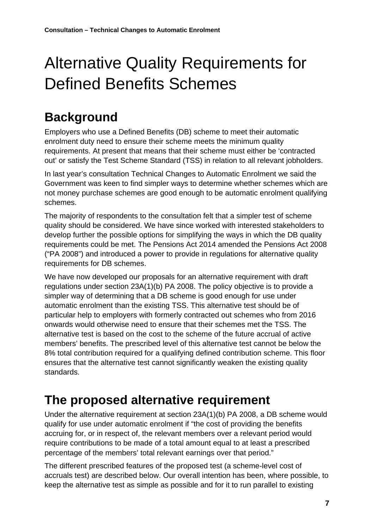## <span id="page-6-0"></span>Alternative Quality Requirements for Defined Benefits Schemes

### **Background**

Employers who use a Defined Benefits (DB) scheme to meet their automatic enrolment duty need to ensure their scheme meets the minimum quality requirements. At present that means that their scheme must either be 'contracted out' or satisfy the Test Scheme Standard (TSS) in relation to all relevant jobholders.

In last year's consultation Technical Changes to Automatic Enrolment we said the Government was keen to find simpler ways to determine whether schemes which are not money purchase schemes are good enough to be automatic enrolment qualifying schemes.

The majority of respondents to the consultation felt that a simpler test of scheme quality should be considered. We have since worked with interested stakeholders to develop further the possible options for simplifying the ways in which the DB quality requirements could be met. The Pensions Act 2014 amended the Pensions Act 2008 ("PA 2008") and introduced a power to provide in regulations for alternative quality requirements for DB schemes.

We have now developed our proposals for an alternative requirement with draft regulations under section 23A(1)(b) PA 2008. The policy objective is to provide a simpler way of determining that a DB scheme is good enough for use under automatic enrolment than the existing TSS. This alternative test should be of particular help to employers with formerly contracted out schemes who from 2016 onwards would otherwise need to ensure that their schemes met the TSS. The alternative test is based on the cost to the scheme of the future accrual of active members' benefits. The prescribed level of this alternative test cannot be below the 8% total contribution required for a qualifying defined contribution scheme. This floor ensures that the alternative test cannot significantly weaken the existing quality standards.

### **The proposed alternative requirement**

Under the alternative requirement at section 23A(1)(b) PA 2008, a DB scheme would qualify for use under automatic enrolment if "the cost of providing the benefits accruing for, or in respect of, the relevant members over a relevant period would require contributions to be made of a total amount equal to at least a prescribed percentage of the members' total relevant earnings over that period."

The different prescribed features of the proposed test (a scheme-level cost of accruals test) are described below. Our overall intention has been, where possible, to keep the alternative test as simple as possible and for it to run parallel to existing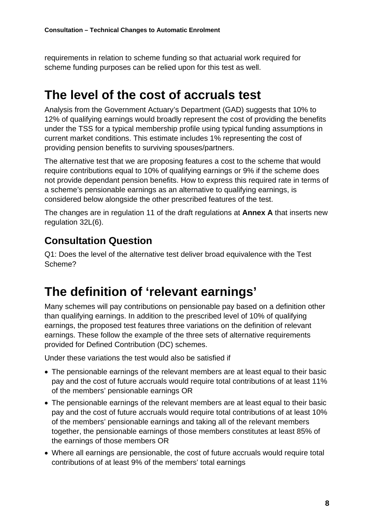requirements in relation to scheme funding so that actuarial work required for scheme funding purposes can be relied upon for this test as well.

### **The level of the cost of accruals test**

Analysis from the Government Actuary's Department (GAD) suggests that 10% to 12% of qualifying earnings would broadly represent the cost of providing the benefits under the TSS for a typical membership profile using typical funding assumptions in current market conditions. This estimate includes 1% representing the cost of providing pension benefits to surviving spouses/partners.

The alternative test that we are proposing features a cost to the scheme that would require contributions equal to 10% of qualifying earnings or 9% if the scheme does not provide dependant pension benefits. How to express this required rate in terms of a scheme's pensionable earnings as an alternative to qualifying earnings, is considered below alongside the other prescribed features of the test.

The changes are in regulation 11 of the draft regulations at **Annex A** that inserts new regulation 32L(6).

#### **Consultation Question**

Q1: Does the level of the alternative test deliver broad equivalence with the Test Scheme?

### **The definition of 'relevant earnings'**

Many schemes will pay contributions on pensionable pay based on a definition other than qualifying earnings. In addition to the prescribed level of 10% of qualifying earnings, the proposed test features three variations on the definition of relevant earnings. These follow the example of the three sets of alternative requirements provided for Defined Contribution (DC) schemes.

Under these variations the test would also be satisfied if

- The pensionable earnings of the relevant members are at least equal to their basic pay and the cost of future accruals would require total contributions of at least 11% of the members' pensionable earnings OR
- The pensionable earnings of the relevant members are at least equal to their basic pay and the cost of future accruals would require total contributions of at least 10% of the members' pensionable earnings and taking all of the relevant members together, the pensionable earnings of those members constitutes at least 85% of the earnings of those members OR
- Where all earnings are pensionable, the cost of future accruals would require total contributions of at least 9% of the members' total earnings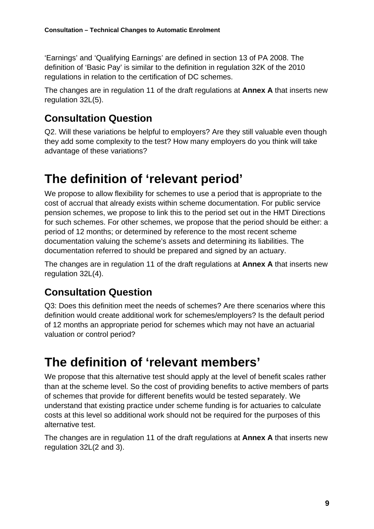'Earnings' and 'Qualifying Earnings' are defined in section 13 of PA 2008. The definition of 'Basic Pay' is similar to the definition in regulation 32K of the 2010 regulations in relation to the certification of DC schemes.

The changes are in regulation 11 of the draft regulations at **Annex A** that inserts new regulation 32L(5).

#### **Consultation Question**

Q2. Will these variations be helpful to employers? Are they still valuable even though they add some complexity to the test? How many employers do you think will take advantage of these variations?

### **The definition of 'relevant period'**

We propose to allow flexibility for schemes to use a period that is appropriate to the cost of accrual that already exists within scheme documentation. For public service pension schemes, we propose to link this to the period set out in the HMT Directions for such schemes. For other schemes, we propose that the period should be either: a period of 12 months; or determined by reference to the most recent scheme documentation valuing the scheme's assets and determining its liabilities. The documentation referred to should be prepared and signed by an actuary.

The changes are in regulation 11 of the draft regulations at **Annex A** that inserts new regulation 32L(4).

#### **Consultation Question**

Q3: Does this definition meet the needs of schemes? Are there scenarios where this definition would create additional work for schemes/employers? Is the default period of 12 months an appropriate period for schemes which may not have an actuarial valuation or control period?

### **The definition of 'relevant members'**

We propose that this alternative test should apply at the level of benefit scales rather than at the scheme level. So the cost of providing benefits to active members of parts of schemes that provide for different benefits would be tested separately. We understand that existing practice under scheme funding is for actuaries to calculate costs at this level so additional work should not be required for the purposes of this alternative test.

The changes are in regulation 11 of the draft regulations at **Annex A** that inserts new regulation 32L(2 and 3).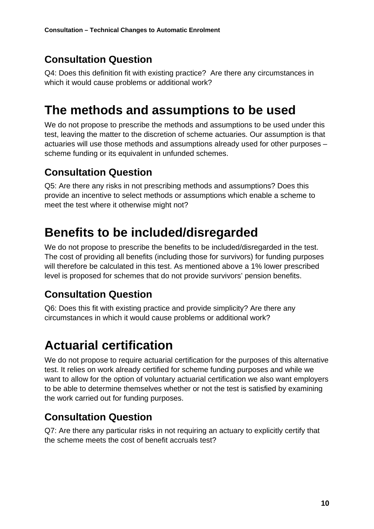#### **Consultation Question**

Q4: Does this definition fit with existing practice? Are there any circumstances in which it would cause problems or additional work?

### **The methods and assumptions to be used**

We do not propose to prescribe the methods and assumptions to be used under this test, leaving the matter to the discretion of scheme actuaries. Our assumption is that actuaries will use those methods and assumptions already used for other purposes – scheme funding or its equivalent in unfunded schemes.

#### **Consultation Question**

Q5: Are there any risks in not prescribing methods and assumptions? Does this provide an incentive to select methods or assumptions which enable a scheme to meet the test where it otherwise might not?

### **Benefits to be included/disregarded**

We do not propose to prescribe the benefits to be included/disregarded in the test. The cost of providing all benefits (including those for survivors) for funding purposes will therefore be calculated in this test. As mentioned above a 1% lower prescribed level is proposed for schemes that do not provide survivors' pension benefits.

#### **Consultation Question**

Q6: Does this fit with existing practice and provide simplicity? Are there any circumstances in which it would cause problems or additional work?

### **Actuarial certification**

We do not propose to require actuarial certification for the purposes of this alternative test. It relies on work already certified for scheme funding purposes and while we want to allow for the option of voluntary actuarial certification we also want employers to be able to determine themselves whether or not the test is satisfied by examining the work carried out for funding purposes.

#### **Consultation Question**

Q7: Are there any particular risks in not requiring an actuary to explicitly certify that the scheme meets the cost of benefit accruals test?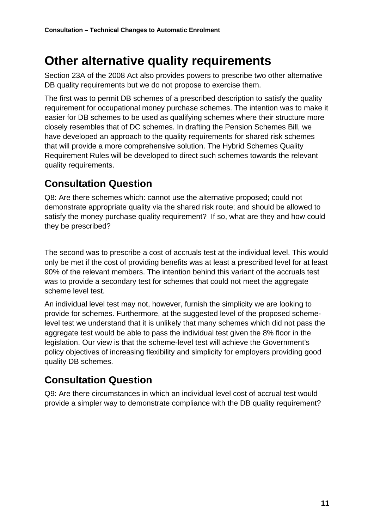### **Other alternative quality requirements**

Section 23A of the 2008 Act also provides powers to prescribe two other alternative DB quality requirements but we do not propose to exercise them.

The first was to permit DB schemes of a prescribed description to satisfy the quality requirement for occupational money purchase schemes. The intention was to make it easier for DB schemes to be used as qualifying schemes where their structure more closely resembles that of DC schemes. In drafting the Pension Schemes Bill, we have developed an approach to the quality requirements for shared risk schemes that will provide a more comprehensive solution. The Hybrid Schemes Quality Requirement Rules will be developed to direct such schemes towards the relevant quality requirements.

#### **Consultation Question**

Q8: Are there schemes which: cannot use the alternative proposed; could not demonstrate appropriate quality via the shared risk route; and should be allowed to satisfy the money purchase quality requirement? If so, what are they and how could they be prescribed?

The second was to prescribe a cost of accruals test at the individual level. This would only be met if the cost of providing benefits was at least a prescribed level for at least 90% of the relevant members. The intention behind this variant of the accruals test was to provide a secondary test for schemes that could not meet the aggregate scheme level test.

An individual level test may not, however, furnish the simplicity we are looking to provide for schemes. Furthermore, at the suggested level of the proposed schemelevel test we understand that it is unlikely that many schemes which did not pass the aggregate test would be able to pass the individual test given the 8% floor in the legislation. Our view is that the scheme-level test will achieve the Government's policy objectives of increasing flexibility and simplicity for employers providing good quality DB schemes.

#### **Consultation Question**

Q9: Are there circumstances in which an individual level cost of accrual test would provide a simpler way to demonstrate compliance with the DB quality requirement?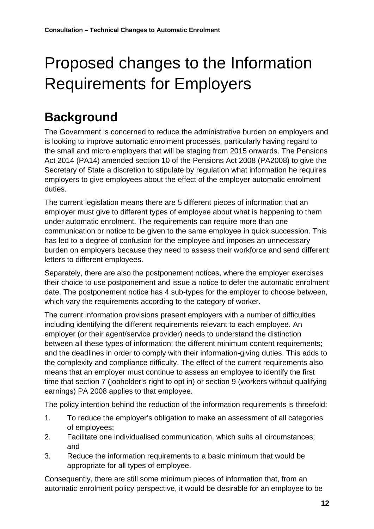## <span id="page-11-0"></span>Proposed changes to the Information Requirements for Employers

### **Background**

The Government is concerned to reduce the administrative burden on employers and is looking to improve automatic enrolment processes, particularly having regard to the small and micro employers that will be staging from 2015 onwards. The Pensions Act 2014 (PA14) amended section 10 of the Pensions Act 2008 (PA2008) to give the Secretary of State a discretion to stipulate by regulation what information he requires employers to give employees about the effect of the employer automatic enrolment duties.

The current legislation means there are 5 different pieces of information that an employer must give to different types of employee about what is happening to them under automatic enrolment. The requirements can require more than one communication or notice to be given to the same employee in quick succession. This has led to a degree of confusion for the employee and imposes an unnecessary burden on employers because they need to assess their workforce and send different letters to different employees.

Separately, there are also the postponement notices, where the employer exercises their choice to use postponement and issue a notice to defer the automatic enrolment date. The postponement notice has 4 sub-types for the employer to choose between, which vary the requirements according to the category of worker.

The current information provisions present employers with a number of difficulties including identifying the different requirements relevant to each employee. An employer (or their agent/service provider) needs to understand the distinction between all these types of information; the different minimum content requirements; and the deadlines in order to comply with their information-giving duties. This adds to the complexity and compliance difficulty. The effect of the current requirements also means that an employer must continue to assess an employee to identify the first time that section 7 (jobholder's right to opt in) or section 9 (workers without qualifying earnings) PA 2008 applies to that employee.

The policy intention behind the reduction of the information requirements is threefold:

- 1. To reduce the employer's obligation to make an assessment of all categories of employees;
- 2. Facilitate one individualised communication, which suits all circumstances; and
- 3. Reduce the information requirements to a basic minimum that would be appropriate for all types of employee.

Consequently, there are still some minimum pieces of information that, from an automatic enrolment policy perspective, it would be desirable for an employee to be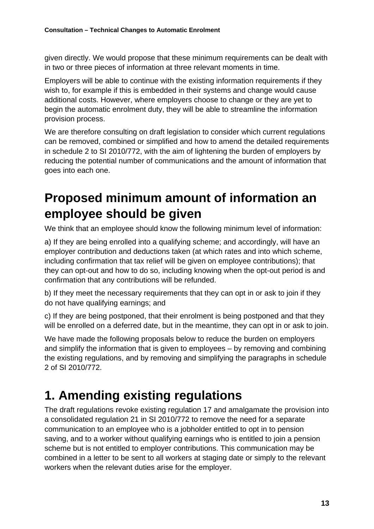given directly. We would propose that these minimum requirements can be dealt with in two or three pieces of information at three relevant moments in time.

Employers will be able to continue with the existing information requirements if they wish to, for example if this is embedded in their systems and change would cause additional costs. However, where employers choose to change or they are yet to begin the automatic enrolment duty, they will be able to streamline the information provision process.

We are therefore consulting on draft legislation to consider which current regulations can be removed, combined or simplified and how to amend the detailed requirements in schedule 2 to SI 2010/772, with the aim of lightening the burden of employers by reducing the potential number of communications and the amount of information that goes into each one.

### **Proposed minimum amount of information an employee should be given**

We think that an employee should know the following minimum level of information:

a) If they are being enrolled into a qualifying scheme; and accordingly, will have an employer contribution and deductions taken (at which rates and into which scheme, including confirmation that tax relief will be given on employee contributions); that they can opt-out and how to do so, including knowing when the opt-out period is and confirmation that any contributions will be refunded.

b) If they meet the necessary requirements that they can opt in or ask to join if they do not have qualifying earnings; and

c) If they are being postponed, that their enrolment is being postponed and that they will be enrolled on a deferred date, but in the meantime, they can opt in or ask to join.

We have made the following proposals below to reduce the burden on employers and simplify the information that is given to employees – by removing and combining the existing regulations, and by removing and simplifying the paragraphs in schedule 2 of SI 2010/772.

### **1. Amending existing regulations**

The draft regulations revoke existing regulation 17 and amalgamate the provision into a consolidated regulation 21 in SI 2010/772 to remove the need for a separate communication to an employee who is a jobholder entitled to opt in to pension saving, and to a worker without qualifying earnings who is entitled to join a pension scheme but is not entitled to employer contributions. This communication may be combined in a letter to be sent to all workers at staging date or simply to the relevant workers when the relevant duties arise for the employer.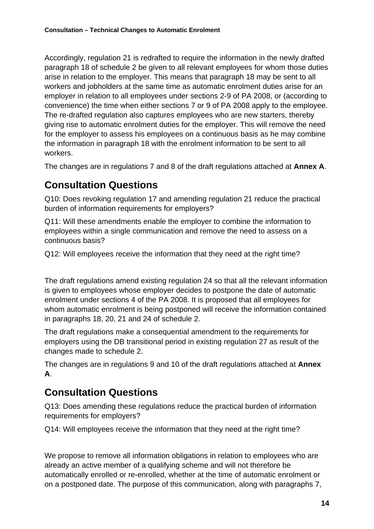Accordingly, regulation 21 is redrafted to require the information in the newly drafted paragraph 18 of schedule 2 be given to all relevant employees for whom those duties arise in relation to the employer. This means that paragraph 18 may be sent to all workers and jobholders at the same time as automatic enrolment duties arise for an employer in relation to all employees under sections 2-9 of PA 2008, or (according to convenience) the time when either sections 7 or 9 of PA 2008 apply to the employee. The re-drafted regulation also captures employees who are new starters, thereby giving rise to automatic enrolment duties for the employer. This will remove the need for the employer to assess his employees on a continuous basis as he may combine the information in paragraph 18 with the enrolment information to be sent to all workers.

The changes are in regulations 7 and 8 of the draft regulations attached at **Annex A**.

#### **Consultation Questions**

Q10: Does revoking regulation 17 and amending regulation 21 reduce the practical burden of information requirements for employers?

Q11: Will these amendments enable the employer to combine the information to employees within a single communication and remove the need to assess on a continuous basis?

Q12: Will employees receive the information that they need at the right time?

The draft regulations amend existing regulation 24 so that all the relevant information is given to employees whose employer decides to postpone the date of automatic enrolment under sections 4 of the PA 2008. It is proposed that all employees for whom automatic enrolment is being postponed will receive the information contained in paragraphs 18, 20, 21 and 24 of schedule 2.

The draft regulations make a consequential amendment to the requirements for employers using the DB transitional period in existing regulation 27 as result of the changes made to schedule 2.

The changes are in regulations 9 and 10 of the draft regulations attached at **Annex A**.

#### **Consultation Questions**

Q13: Does amending these regulations reduce the practical burden of information requirements for employers?

Q14: Will employees receive the information that they need at the right time?

We propose to remove all information obligations in relation to employees who are already an active member of a qualifying scheme and will not therefore be automatically enrolled or re-enrolled, whether at the time of automatic enrolment or on a postponed date. The purpose of this communication, along with paragraphs 7,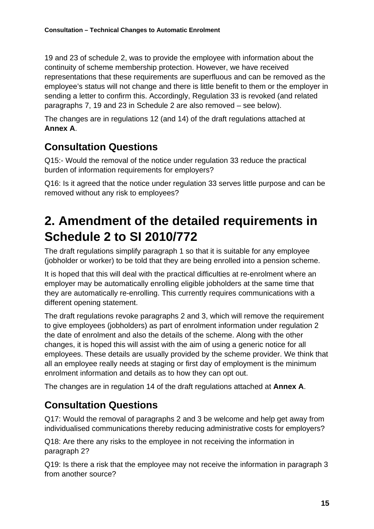19 and 23 of schedule 2, was to provide the employee with information about the continuity of scheme membership protection. However, we have received representations that these requirements are superfluous and can be removed as the employee's status will not change and there is little benefit to them or the employer in sending a letter to confirm this. Accordingly, Regulation 33 is revoked (and related paragraphs 7, 19 and 23 in Schedule 2 are also removed – see below).

The changes are in regulations 12 (and 14) of the draft regulations attached at **Annex A**.

#### **Consultation Questions**

Q15:- Would the removal of the notice under regulation 33 reduce the practical burden of information requirements for employers?

Q16: Is it agreed that the notice under regulation 33 serves little purpose and can be removed without any risk to employees?

### **2. Amendment of the detailed requirements in Schedule 2 to SI 2010/772**

The draft regulations simplify paragraph 1 so that it is suitable for any employee (jobholder or worker) to be told that they are being enrolled into a pension scheme.

It is hoped that this will deal with the practical difficulties at re-enrolment where an employer may be automatically enrolling eligible jobholders at the same time that they are automatically re-enrolling. This currently requires communications with a different opening statement.

The draft regulations revoke paragraphs 2 and 3, which will remove the requirement to give employees (jobholders) as part of enrolment information under regulation 2 the date of enrolment and also the details of the scheme. Along with the other changes, it is hoped this will assist with the aim of using a generic notice for all employees. These details are usually provided by the scheme provider. We think that all an employee really needs at staging or first day of employment is the minimum enrolment information and details as to how they can opt out.

The changes are in regulation 14 of the draft regulations attached at **Annex A**.

#### **Consultation Questions**

Q17: Would the removal of paragraphs 2 and 3 be welcome and help get away from individualised communications thereby reducing administrative costs for employers?

Q18: Are there any risks to the employee in not receiving the information in paragraph 2?

Q19: Is there a risk that the employee may not receive the information in paragraph 3 from another source?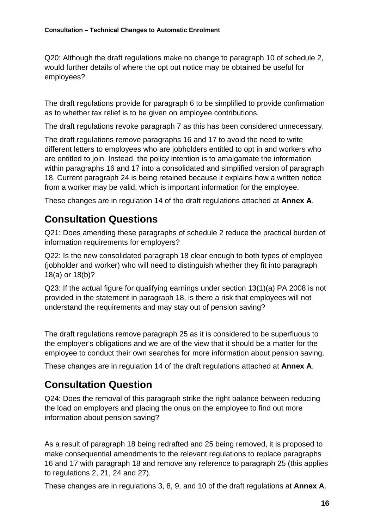Q20: Although the draft regulations make no change to paragraph 10 of schedule 2, would further details of where the opt out notice may be obtained be useful for employees?

The draft regulations provide for paragraph 6 to be simplified to provide confirmation as to whether tax relief is to be given on employee contributions.

The draft regulations revoke paragraph 7 as this has been considered unnecessary.

The draft regulations remove paragraphs 16 and 17 to avoid the need to write different letters to employees who are jobholders entitled to opt in and workers who are entitled to join. Instead, the policy intention is to amalgamate the information within paragraphs 16 and 17 into a consolidated and simplified version of paragraph 18. Current paragraph 24 is being retained because it explains how a written notice from a worker may be valid, which is important information for the employee.

These changes are in regulation 14 of the draft regulations attached at **Annex A**.

#### **Consultation Questions**

Q21: Does amending these paragraphs of schedule 2 reduce the practical burden of information requirements for employers?

Q22: Is the new consolidated paragraph 18 clear enough to both types of employee (jobholder and worker) who will need to distinguish whether they fit into paragraph 18(a) or 18(b)?

Q23: If the actual figure for qualifying earnings under section 13(1)(a) PA 2008 is not provided in the statement in paragraph 18, is there a risk that employees will not understand the requirements and may stay out of pension saving?

The draft regulations remove paragraph 25 as it is considered to be superfluous to the employer's obligations and we are of the view that it should be a matter for the employee to conduct their own searches for more information about pension saving.

These changes are in regulation 14 of the draft regulations attached at **Annex A**.

#### **Consultation Question**

Q24: Does the removal of this paragraph strike the right balance between reducing the load on employers and placing the onus on the employee to find out more information about pension saving?

As a result of paragraph 18 being redrafted and 25 being removed, it is proposed to make consequential amendments to the relevant regulations to replace paragraphs 16 and 17 with paragraph 18 and remove any reference to paragraph 25 (this applies to regulations 2, 21, 24 and 27).

These changes are in regulations 3, 8, 9, and 10 of the draft regulations at **Annex A**.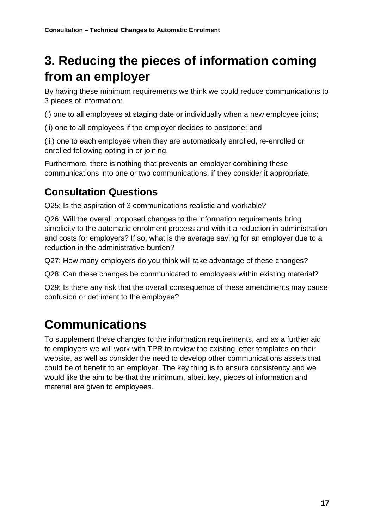### **3. Reducing the pieces of information coming from an employer**

By having these minimum requirements we think we could reduce communications to 3 pieces of information:

(i) one to all employees at staging date or individually when a new employee joins;

(ii) one to all employees if the employer decides to postpone; and

(iii) one to each employee when they are automatically enrolled, re-enrolled or enrolled following opting in or joining.

Furthermore, there is nothing that prevents an employer combining these communications into one or two communications, if they consider it appropriate.

#### **Consultation Questions**

Q25: Is the aspiration of 3 communications realistic and workable?

Q26: Will the overall proposed changes to the information requirements bring simplicity to the automatic enrolment process and with it a reduction in administration and costs for employers? If so, what is the average saving for an employer due to a reduction in the administrative burden?

Q27: How many employers do you think will take advantage of these changes?

Q28: Can these changes be communicated to employees within existing material?

Q29: Is there any risk that the overall consequence of these amendments may cause confusion or detriment to the employee?

### **Communications**

To supplement these changes to the information requirements, and as a further aid to employers we will work with TPR to review the existing letter templates on their website, as well as consider the need to develop other communications assets that could be of benefit to an employer. The key thing is to ensure consistency and we would like the aim to be that the minimum, albeit key, pieces of information and material are given to employees.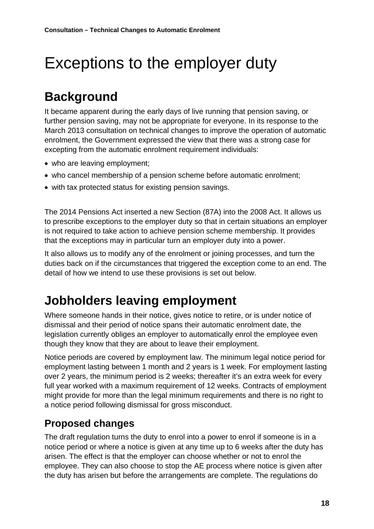## <span id="page-17-0"></span>Exceptions to the employer duty

### **Background**

It became apparent during the early days of live running that pension saving, or further pension saving, may not be appropriate for everyone. In its response to the March 2013 consultation on technical changes to improve the operation of automatic enrolment, the Government expressed the view that there was a strong case for excepting from the automatic enrolment requirement individuals:

- who are leaving employment;
- who cancel membership of a pension scheme before automatic enrolment;
- with tax protected status for existing pension savings.

The 2014 Pensions Act inserted a new Section (87A) into the 2008 Act. It allows us to prescribe exceptions to the employer duty so that in certain situations an employer is not required to take action to achieve pension scheme membership. It provides that the exceptions may in particular turn an employer duty into a power.

It also allows us to modify any of the enrolment or joining processes, and turn the duties back on if the circumstances that triggered the exception come to an end. The detail of how we intend to use these provisions is set out below.

### **Jobholders leaving employment**

Where someone hands in their notice, gives notice to retire, or is under notice of dismissal and their period of notice spans their automatic enrolment date, the legislation currently obliges an employer to automatically enrol the employee even though they know that they are about to leave their employment.

Notice periods are covered by employment law. The minimum legal notice period for employment lasting between 1 month and 2 years is 1 week. For employment lasting over 2 years, the minimum period is 2 weeks; thereafter it's an extra week for every full year worked with a maximum requirement of 12 weeks. Contracts of employment might provide for more than the legal minimum requirements and there is no right to a notice period following dismissal for gross misconduct.

#### **Proposed changes**

The draft regulation turns the duty to enrol into a power to enrol if someone is in a notice period or where a notice is given at any time up to 6 weeks after the duty has arisen. The effect is that the employer can choose whether or not to enrol the employee. They can also choose to stop the AE process where notice is given after the duty has arisen but before the arrangements are complete. The regulations do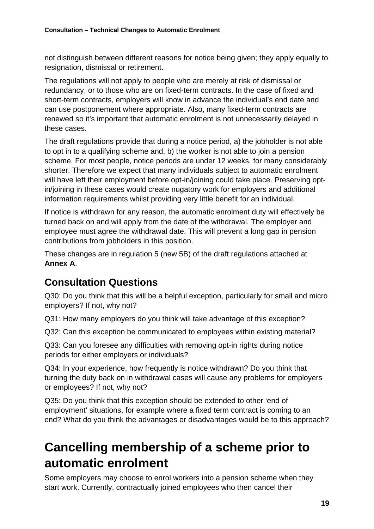not distinguish between different reasons for notice being given; they apply equally to resignation, dismissal or retirement.

The regulations will not apply to people who are merely at risk of dismissal or redundancy, or to those who are on fixed-term contracts. In the case of fixed and short-term contracts, employers will know in advance the individual's end date and can use postponement where appropriate. Also, many fixed-term contracts are renewed so it's important that automatic enrolment is not unnecessarily delayed in these cases.

The draft regulations provide that during a notice period, a) the jobholder is not able to opt in to a qualifying scheme and, b) the worker is not able to join a pension scheme. For most people, notice periods are under 12 weeks, for many considerably shorter. Therefore we expect that many individuals subject to automatic enrolment will have left their employment before opt-in/joining could take place. Preserving optin/joining in these cases would create nugatory work for employers and additional information requirements whilst providing very little benefit for an individual.

If notice is withdrawn for any reason, the automatic enrolment duty will effectively be turned back on and will apply from the date of the withdrawal. The employer and employee must agree the withdrawal date. This will prevent a long gap in pension contributions from jobholders in this position.

These changes are in regulation 5 (new 5B) of the draft regulations attached at **Annex A**.

#### **Consultation Questions**

Q30: Do you think that this will be a helpful exception, particularly for small and micro employers? If not, why not?

Q31: How many employers do you think will take advantage of this exception?

Q32: Can this exception be communicated to employees within existing material?

Q33: Can you foresee any difficulties with removing opt-in rights during notice periods for either employers or individuals?

Q34: In your experience, how frequently is notice withdrawn? Do you think that turning the duty back on in withdrawal cases will cause any problems for employers or employees? If not, why not?

Q35: Do you think that this exception should be extended to other 'end of employment' situations, for example where a fixed term contract is coming to an end? What do you think the advantages or disadvantages would be to this approach?

### **Cancelling membership of a scheme prior to automatic enrolment**

Some employers may choose to enrol workers into a pension scheme when they start work. Currently, contractually joined employees who then cancel their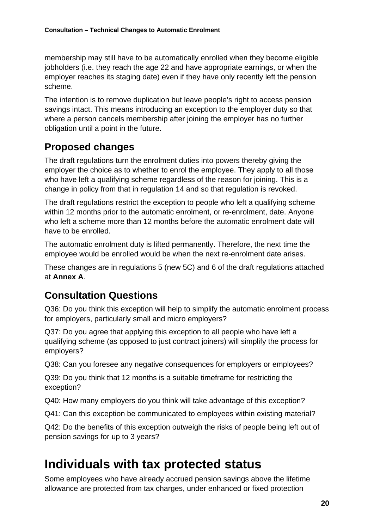membership may still have to be automatically enrolled when they become eligible jobholders (i.e. they reach the age 22 and have appropriate earnings, or when the employer reaches its staging date) even if they have only recently left the pension scheme.

The intention is to remove duplication but leave people's right to access pension savings intact. This means introducing an exception to the employer duty so that where a person cancels membership after joining the employer has no further obligation until a point in the future.

#### **Proposed changes**

The draft regulations turn the enrolment duties into powers thereby giving the employer the choice as to whether to enrol the employee. They apply to all those who have left a qualifying scheme regardless of the reason for joining. This is a change in policy from that in regulation 14 and so that regulation is revoked.

The draft regulations restrict the exception to people who left a qualifying scheme within 12 months prior to the automatic enrolment, or re-enrolment, date. Anyone who left a scheme more than 12 months before the automatic enrolment date will have to be enrolled.

The automatic enrolment duty is lifted permanently. Therefore, the next time the employee would be enrolled would be when the next re-enrolment date arises.

These changes are in regulations 5 (new 5C) and 6 of the draft regulations attached at **Annex A**.

#### **Consultation Questions**

Q36: Do you think this exception will help to simplify the automatic enrolment process for employers, particularly small and micro employers?

Q37: Do you agree that applying this exception to all people who have left a qualifying scheme (as opposed to just contract joiners) will simplify the process for employers?

Q38: Can you foresee any negative consequences for employers or employees?

Q39: Do you think that 12 months is a suitable timeframe for restricting the exception?

Q40: How many employers do you think will take advantage of this exception?

Q41: Can this exception be communicated to employees within existing material?

Q42: Do the benefits of this exception outweigh the risks of people being left out of pension savings for up to 3 years?

#### **Individuals with tax protected status**

Some employees who have already accrued pension savings above the lifetime allowance are protected from tax charges, under enhanced or fixed protection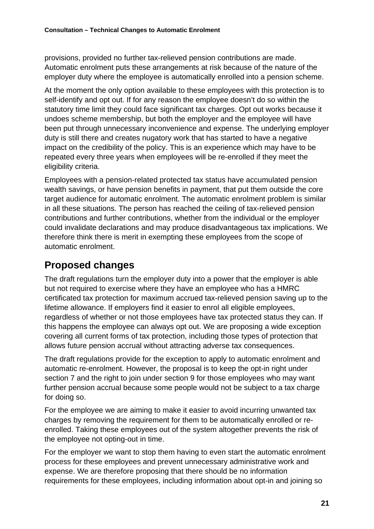provisions, provided no further tax-relieved pension contributions are made. Automatic enrolment puts these arrangements at risk because of the nature of the employer duty where the employee is automatically enrolled into a pension scheme.

At the moment the only option available to these employees with this protection is to self-identify and opt out. If for any reason the employee doesn't do so within the statutory time limit they could face significant tax charges. Opt out works because it undoes scheme membership, but both the employer and the employee will have been put through unnecessary inconvenience and expense. The underlying employer duty is still there and creates nugatory work that has started to have a negative impact on the credibility of the policy. This is an experience which may have to be repeated every three years when employees will be re-enrolled if they meet the eligibility criteria.

Employees with a pension-related protected tax status have accumulated pension wealth savings, or have pension benefits in payment, that put them outside the core target audience for automatic enrolment. The automatic enrolment problem is similar in all these situations. The person has reached the ceiling of tax-relieved pension contributions and further contributions, whether from the individual or the employer could invalidate declarations and may produce disadvantageous tax implications. We therefore think there is merit in exempting these employees from the scope of automatic enrolment.

#### **Proposed changes**

The draft regulations turn the employer duty into a power that the employer is able but not required to exercise where they have an employee who has a HMRC certificated tax protection for maximum accrued tax-relieved pension saving up to the lifetime allowance. If employers find it easier to enrol all eligible employees, regardless of whether or not those employees have tax protected status they can. If this happens the employee can always opt out. We are proposing a wide exception covering all current forms of tax protection, including those types of protection that allows future pension accrual without attracting adverse tax consequences.

The draft regulations provide for the exception to apply to automatic enrolment and automatic re-enrolment. However, the proposal is to keep the opt-in right under section 7 and the right to join under section 9 for those employees who may want further pension accrual because some people would not be subject to a tax charge for doing so.

For the employee we are aiming to make it easier to avoid incurring unwanted tax charges by removing the requirement for them to be automatically enrolled or reenrolled. Taking these employees out of the system altogether prevents the risk of the employee not opting-out in time.

For the employer we want to stop them having to even start the automatic enrolment process for these employees and prevent unnecessary administrative work and expense. We are therefore proposing that there should be no information requirements for these employees, including information about opt-in and joining so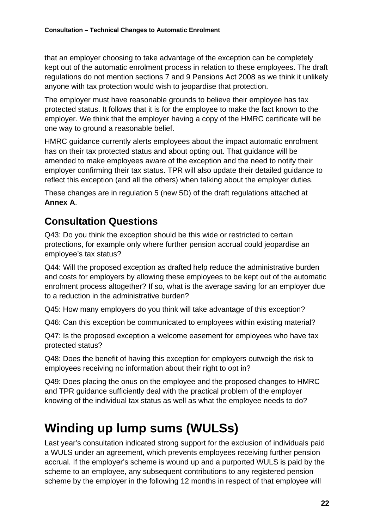that an employer choosing to take advantage of the exception can be completely kept out of the automatic enrolment process in relation to these employees. The draft regulations do not mention sections 7 and 9 Pensions Act 2008 as we think it unlikely anyone with tax protection would wish to jeopardise that protection.

The employer must have reasonable grounds to believe their employee has tax protected status. It follows that it is for the employee to make the fact known to the employer. We think that the employer having a copy of the HMRC certificate will be one way to ground a reasonable belief.

HMRC guidance currently alerts employees about the impact automatic enrolment has on their tax protected status and about opting out. That guidance will be amended to make employees aware of the exception and the need to notify their employer confirming their tax status. TPR will also update their detailed guidance to reflect this exception (and all the others) when talking about the employer duties.

These changes are in regulation 5 (new 5D) of the draft regulations attached at **Annex A**.

#### **Consultation Questions**

Q43: Do you think the exception should be this wide or restricted to certain protections, for example only where further pension accrual could jeopardise an employee's tax status?

Q44: Will the proposed exception as drafted help reduce the administrative burden and costs for employers by allowing these employees to be kept out of the automatic enrolment process altogether? If so, what is the average saving for an employer due to a reduction in the administrative burden?

Q45: How many employers do you think will take advantage of this exception?

Q46: Can this exception be communicated to employees within existing material?

Q47: Is the proposed exception a welcome easement for employees who have tax protected status?

Q48: Does the benefit of having this exception for employers outweigh the risk to employees receiving no information about their right to opt in?

Q49: Does placing the onus on the employee and the proposed changes to HMRC and TPR guidance sufficiently deal with the practical problem of the employer knowing of the individual tax status as well as what the employee needs to do?

### **Winding up lump sums (WULSs)**

Last year's consultation indicated strong support for the exclusion of individuals paid a WULS under an agreement, which prevents employees receiving further pension accrual. If the employer's scheme is wound up and a purported WULS is paid by the scheme to an employee, any subsequent contributions to any registered pension scheme by the employer in the following 12 months in respect of that employee will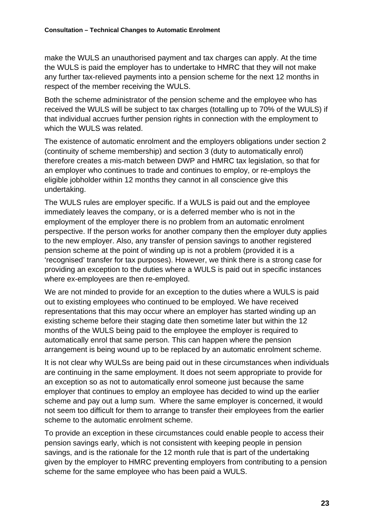make the WULS an unauthorised payment and tax charges can apply. At the time the WULS is paid the employer has to undertake to HMRC that they will not make any further tax-relieved payments into a pension scheme for the next 12 months in respect of the member receiving the WULS.

Both the scheme administrator of the pension scheme and the employee who has received the WULS will be subject to tax charges (totalling up to 70% of the WULS) if that individual accrues further pension rights in connection with the employment to which the WULS was related.

The existence of automatic enrolment and the employers obligations under section 2 (continuity of scheme membership) and section 3 (duty to automatically enrol) therefore creates a mis-match between DWP and HMRC tax legislation, so that for an employer who continues to trade and continues to employ, or re-employs the eligible jobholder within 12 months they cannot in all conscience give this undertaking.

The WULS rules are employer specific. If a WULS is paid out and the employee immediately leaves the company, or is a deferred member who is not in the employment of the employer there is no problem from an automatic enrolment perspective. If the person works for another company then the employer duty applies to the new employer. Also, any transfer of pension savings to another registered pension scheme at the point of winding up is not a problem (provided it is a 'recognised' transfer for tax purposes). However, we think there is a strong case for providing an exception to the duties where a WULS is paid out in specific instances where ex-employees are then re-employed.

We are not minded to provide for an exception to the duties where a WULS is paid out to existing employees who continued to be employed. We have received representations that this may occur where an employer has started winding up an existing scheme before their staging date then sometime later but within the 12 months of the WULS being paid to the employee the employer is required to automatically enrol that same person. This can happen where the pension arrangement is being wound up to be replaced by an automatic enrolment scheme.

It is not clear why WULSs are being paid out in these circumstances when individuals are continuing in the same employment. It does not seem appropriate to provide for an exception so as not to automatically enrol someone just because the same employer that continues to employ an employee has decided to wind up the earlier scheme and pay out a lump sum. Where the same employer is concerned, it would not seem too difficult for them to arrange to transfer their employees from the earlier scheme to the automatic enrolment scheme.

To provide an exception in these circumstances could enable people to access their pension savings early, which is not consistent with keeping people in pension savings, and is the rationale for the 12 month rule that is part of the undertaking given by the employer to HMRC preventing employers from contributing to a pension scheme for the same employee who has been paid a WULS.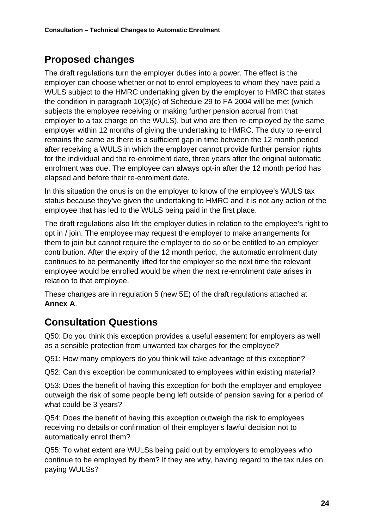#### **Proposed changes**

The draft regulations turn the employer duties into a power. The effect is the employer can choose whether or not to enrol employees to whom they have paid a WULS subject to the HMRC undertaking given by the employer to HMRC that states the condition in paragraph 10(3)(c) of Schedule 29 to FA 2004 will be met (which subjects the employee receiving or making further pension accrual from that employer to a tax charge on the WULS), but who are then re-employed by the same employer within 12 months of giving the undertaking to HMRC. The duty to re-enrol remains the same as there is a sufficient gap in time between the 12 month period after receiving a WULS in which the employer cannot provide further pension rights for the individual and the re-enrolment date, three years after the original automatic enrolment was due. The employee can always opt-in after the 12 month period has elapsed and before their re-enrolment date.

In this situation the onus is on the employer to know of the employee's WULS tax status because they've given the undertaking to HMRC and it is not any action of the employee that has led to the WULS being paid in the first place.

The draft regulations also lift the employer duties in relation to the employee's right to opt in / join. The employee may request the employer to make arrangements for them to join but cannot require the employer to do so or be entitled to an employer contribution. After the expiry of the 12 month period, the automatic enrolment duty continues to be permanently lifted for the employer so the next time the relevant employee would be enrolled would be when the next re-enrolment date arises in relation to that employee.

These changes are in regulation 5 (new 5E) of the draft regulations attached at **Annex A**.

#### **Consultation Questions**

Q50: Do you think this exception provides a useful easement for employers as well as a sensible protection from unwanted tax charges for the employee?

Q51: How many employers do you think will take advantage of this exception?

Q52: Can this exception be communicated to employees within existing material?

Q53: Does the benefit of having this exception for both the employer and employee outweigh the risk of some people being left outside of pension saving for a period of what could be 3 years?

Q54: Does the benefit of having this exception outweigh the risk to employees receiving no details or confirmation of their employer's lawful decision not to automatically enrol them?

Q55: To what extent are WULSs being paid out by employers to employees who continue to be employed by them? If they are why, having regard to the tax rules on paying WULSs?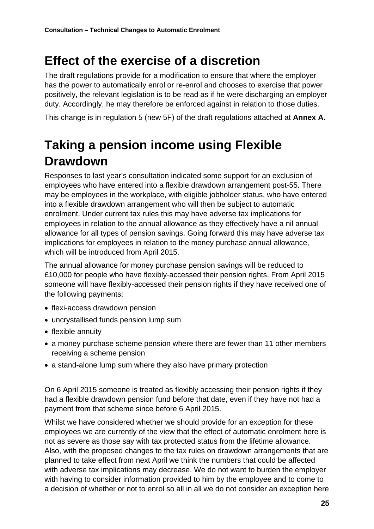### **Effect of the exercise of a discretion**

The draft regulations provide for a modification to ensure that where the employer has the power to automatically enrol or re-enrol and chooses to exercise that power positively, the relevant legislation is to be read as if he were discharging an employer duty. Accordingly, he may therefore be enforced against in relation to those duties.

This change is in regulation 5 (new 5F) of the draft regulations attached at **Annex A**.

### **Taking a pension income using Flexible Drawdown**

Responses to last year's consultation indicated some support for an exclusion of employees who have entered into a flexible drawdown arrangement post-55. There may be employees in the workplace, with eligible jobholder status, who have entered into a flexible drawdown arrangement who will then be subject to automatic enrolment. Under current tax rules this may have adverse tax implications for employees in relation to the annual allowance as they effectively have a nil annual allowance for all types of pension savings. Going forward this may have adverse tax implications for employees in relation to the money purchase annual allowance, which will be introduced from April 2015.

The annual allowance for money purchase pension savings will be reduced to £10,000 for people who have flexibly-accessed their pension rights. From April 2015 someone will have flexibly-accessed their pension rights if they have received one of the following payments:

- flexi-access drawdown pension
- uncrystallised funds pension lump sum
- flexible annuity
- a money purchase scheme pension where there are fewer than 11 other members receiving a scheme pension
- a stand-alone lump sum where they also have primary protection

On 6 April 2015 someone is treated as flexibly accessing their pension rights if they had a flexible drawdown pension fund before that date, even if they have not had a payment from that scheme since before 6 April 2015.

Whilst we have considered whether we should provide for an exception for these employees we are currently of the view that the effect of automatic enrolment here is not as severe as those say with tax protected status from the lifetime allowance. Also, with the proposed changes to the tax rules on drawdown arrangements that are planned to take effect from next April we think the numbers that could be affected with adverse tax implications may decrease. We do not want to burden the employer with having to consider information provided to him by the employee and to come to a decision of whether or not to enrol so all in all we do not consider an exception here